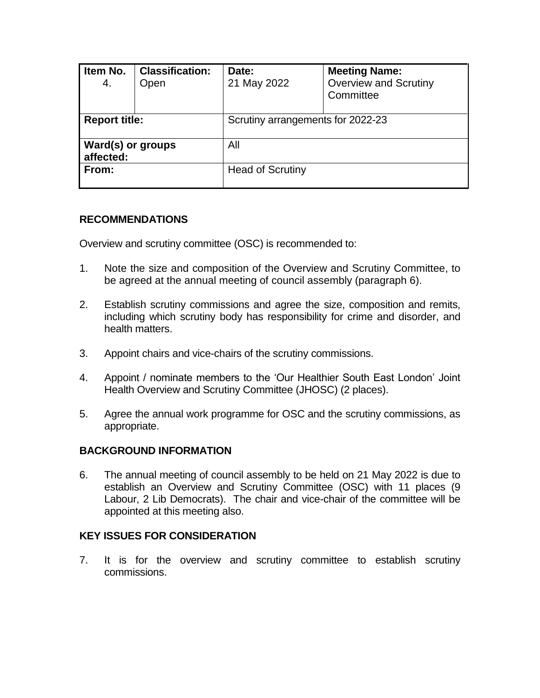| Item No.<br>4.                 | <b>Classification:</b><br>Open | Date:<br>21 May 2022              | <b>Meeting Name:</b><br><b>Overview and Scrutiny</b><br>Committee |  |
|--------------------------------|--------------------------------|-----------------------------------|-------------------------------------------------------------------|--|
| <b>Report title:</b>           |                                | Scrutiny arrangements for 2022-23 |                                                                   |  |
| Ward(s) or groups<br>affected: |                                | All                               |                                                                   |  |
| From:                          |                                | <b>Head of Scrutiny</b>           |                                                                   |  |

## **RECOMMENDATIONS**

Overview and scrutiny committee (OSC) is recommended to:

- 1. Note the size and composition of the Overview and Scrutiny Committee, to be agreed at the annual meeting of council assembly (paragraph 6).
- 2. Establish scrutiny commissions and agree the size, composition and remits, including which scrutiny body has responsibility for crime and disorder, and health matters.
- 3. Appoint chairs and vice-chairs of the scrutiny commissions.
- 4. Appoint / nominate members to the 'Our Healthier South East London' Joint Health Overview and Scrutiny Committee (JHOSC) (2 places).
- 5. Agree the annual work programme for OSC and the scrutiny commissions, as appropriate.

## **BACKGROUND INFORMATION**

6. The annual meeting of council assembly to be held on 21 May 2022 is due to establish an Overview and Scrutiny Committee (OSC) with 11 places (9 Labour, 2 Lib Democrats). The chair and vice-chair of the committee will be appointed at this meeting also.

## **KEY ISSUES FOR CONSIDERATION**

7. It is for the overview and scrutiny committee to establish scrutiny commissions.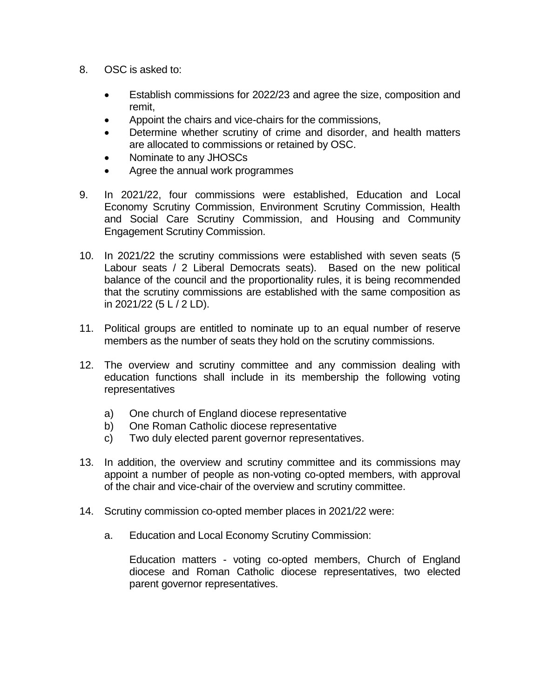- 8. OSC is asked to:
	- Establish commissions for 2022/23 and agree the size, composition and remit,
	- Appoint the chairs and vice-chairs for the commissions,
	- Determine whether scrutiny of crime and disorder, and health matters are allocated to commissions or retained by OSC.
	- Nominate to any JHOSCs
	- Agree the annual work programmes
- 9. In 2021/22, four commissions were established, Education and Local Economy Scrutiny Commission, Environment Scrutiny Commission, Health and Social Care Scrutiny Commission, and Housing and Community Engagement Scrutiny Commission.
- 10. In 2021/22 the scrutiny commissions were established with seven seats (5 Labour seats / 2 Liberal Democrats seats). Based on the new political balance of the council and the proportionality rules, it is being recommended that the scrutiny commissions are established with the same composition as in 2021/22 (5 L / 2 LD).
- 11. Political groups are entitled to nominate up to an equal number of reserve members as the number of seats they hold on the scrutiny commissions.
- 12. The overview and scrutiny committee and any commission dealing with education functions shall include in its membership the following voting representatives
	- a) One church of England diocese representative
	- b) One Roman Catholic diocese representative
	- c) Two duly elected parent governor representatives.
- 13. In addition, the overview and scrutiny committee and its commissions may appoint a number of people as non-voting co-opted members, with approval of the chair and vice-chair of the overview and scrutiny committee.
- 14. Scrutiny commission co-opted member places in 2021/22 were:
	- a. Education and Local Economy Scrutiny Commission:

Education matters - voting co-opted members, Church of England diocese and Roman Catholic diocese representatives, two elected parent governor representatives.